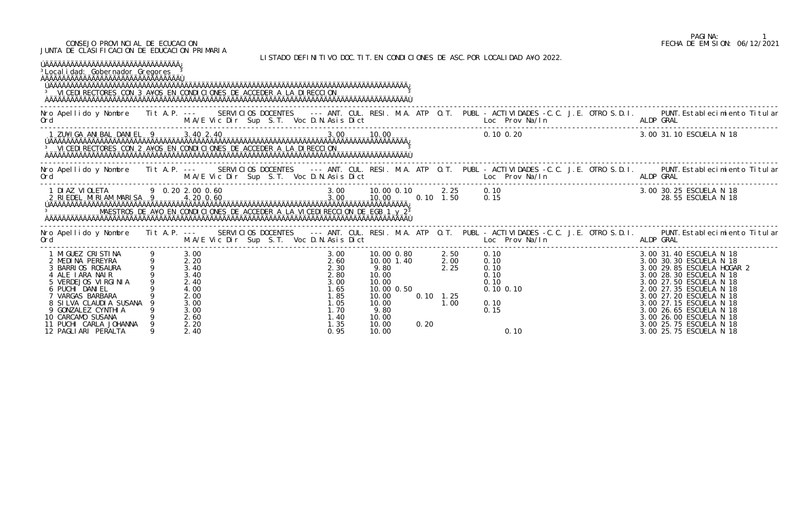## PAGINA: 1<br>FECHA DE EMISION: 06/12/2021 CONSEJO PROVINCIAL DE ECUCACION FECHA DE EMISION: 06/12/2021

JUNTA DE CLASIFICACION DE EDUCACION PRIMARIA

| <sup>3</sup> Local i dad: Gobernador Gregores<br>AÄÄÄÄÄÄÄÄÄÄÄÄÄÄÄÄÄÄÄÄÄÄÄÄÄÄÄÄÄÄÄÄÄ<br><sup>3</sup> VICEDI RECTORES CON 3 A¥OS EN CONDICIONES DE ACCEDER A LA DIRECCION                                                                                              |                                                                   |                                                                      |  |                                          |                                                                                               |                                                                                                                            |      |                                                                                     | LISTADO DEFINITIVO DOC. TIT. EN CONDICIONES DE ASC. POR LOCALIDAD A¥O 2022.                |  |           |                                                                                                                                                                                                                                                                                                                                     |
|----------------------------------------------------------------------------------------------------------------------------------------------------------------------------------------------------------------------------------------------------------------------|-------------------------------------------------------------------|----------------------------------------------------------------------|--|------------------------------------------|-----------------------------------------------------------------------------------------------|----------------------------------------------------------------------------------------------------------------------------|------|-------------------------------------------------------------------------------------|--------------------------------------------------------------------------------------------|--|-----------|-------------------------------------------------------------------------------------------------------------------------------------------------------------------------------------------------------------------------------------------------------------------------------------------------------------------------------------|
|                                                                                                                                                                                                                                                                      |                                                                   |                                                                      |  |                                          |                                                                                               |                                                                                                                            |      |                                                                                     |                                                                                            |  |           | Nro Apellido y Nombre Tit A.P. --- SERVICIOS DOCENTES --- ANT. CUL. RESI. M.A. ATP O.T. PUBL -ACTIVIDADES -C.C. J.E. OTRO S.D.I. PUNT.Establecimiento Titular<br>Ord M.A/E Vic Dir Sup S.T. Voc D.N.Asis Dict Loc Prov Na/In ALDP                                                                                                   |
|                                                                                                                                                                                                                                                                      |                                                                   |                                                                      |  |                                          |                                                                                               |                                                                                                                            |      |                                                                                     | $0.10\, 0.20$                                                                              |  |           | 3.00 31.10 ESCUELA N 18                                                                                                                                                                                                                                                                                                             |
| M.A/E Vic Dir Sup S.T. Voc D.N.Asis Dict Loc Prov Na/In ALDP GRAL<br>Ord                                                                                                                                                                                             |                                                                   |                                                                      |  |                                          |                                                                                               |                                                                                                                            |      |                                                                                     |                                                                                            |  |           | Nro Apellido y Nombre Tit A.P. --- SERVICIOS DOCENTES --- ANT. CUL. RESI. M.A. ATP O.T. PUBL - ACTIVIDADES -C.C. J.E. OTRO S.D.I. PUNT. Establecimiento Titular                                                                                                                                                                     |
|                                                                                                                                                                                                                                                                      |                                                                   |                                                                      |  |                                          |                                                                                               |                                                                                                                            |      |                                                                                     |                                                                                            |  |           |                                                                                                                                                                                                                                                                                                                                     |
| Ord                                                                                                                                                                                                                                                                  |                                                                   |                                                                      |  | M.A/E Vic Dir Sup S.T. Voc D.N.Asis Dict |                                                                                               |                                                                                                                            |      |                                                                                     | <b>Example 2018</b> Loc Prov Na/In                                                         |  | ALDP GRAL | Nro Apellido y Nombre Tit A.P. --- SERVICIOS DOCENTES --- ANT. CUL. RESI. M.A. ATP O.T. PUBL - ACTIVIDADES -C.C. J.E. OTRO S.D.I. PUNT.Establecimiento Titular                                                                                                                                                                      |
| 1 MI GUEZ CRI STI NA<br>2 MEDINA PEREYRA<br>3 BARRIOS ROSAURA<br>4 ALE LARA NALR<br>5 VERDEJOS VIRGINIA<br>6 PUCHI DANIEL<br>7 VARGAS BARBARA<br>8 SILVA CLAUDIA SUSANA<br>9 GONZALEZ CYNTHI A<br>10 CARCAMO SUSANA<br>11 PUCHI CARLA JOHANNA<br>12 PAGLIARI PERALTA | $\begin{array}{ccc} 9 & 2.20 \\ 9 & 3.40 \\ 9 & 3.40 \end{array}$ | 3.00<br>2.40<br>4.00<br>2.00<br>3.00<br>3.00<br>2.60<br>2.20<br>2.40 |  |                                          | 3.00<br>2.60<br>2.30<br>2.80<br>3.00<br>l. 65<br>1.85<br>1.05<br>1.70<br>1.40<br>1.35<br>0.95 | 10.00 0.80 2.50<br>10.00 1.40<br>9.80<br>10.00<br>10.00<br>10.00 0.50<br>10.00<br>10.00<br>9.80<br>10.00<br>10.00<br>10.00 | 0.20 | $\begin{array}{ccc} 1.40 & 2.00 \\ 2.25 & \end{array}$<br>$0.10 \quad 1.25$<br>1.00 | 0. 10<br>0. 10<br>0. 10<br>0. 10<br>0. 10<br>0.10<br>$0.10$ $0.10$<br>0.10<br>0.15<br>0.10 |  |           | 3.00 31.40 ESCUELA N 18<br>3.00 30.30 ESCUELA N 18<br>3.00 29.85 ESCUELA HOGAR 2<br>3.00 28.30 ESCUELA N 18<br>3.00 27.50 ESCUELA N 18<br>2.00 27.35 ESCUELA N 18<br>3.00 27.20 ESCUELA N 18<br>3.00 27.15 ESCUELA N 18<br>3.00 26.65 ESCUELA N 18<br>3.00 26.00 ESCUELA N 18<br>3.00 25.75 ESCUELA N 18<br>3.00 25.75 ESCUELA N 18 |